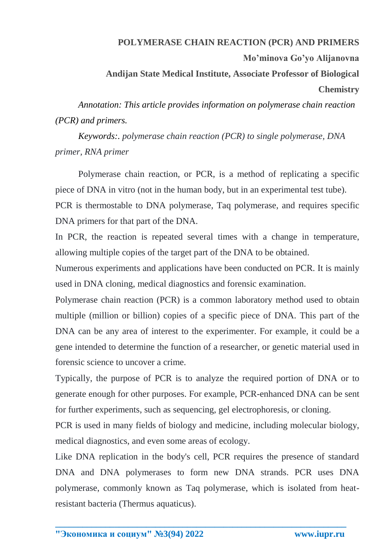## **POLYMERASE CHAIN REACTION (PCR) AND PRIMERS**

**Mo'minova Go'yo Alijanovna**

**Andijan State Medical Institute, Associate Professor of Biological** 

## **Chemistry**

*Annotation: This article provides information on polymerase chain reaction (PCR) and primers.*

*Keywords:. polymerase chain reaction (PCR) to single polymerase, DNA primer, RNA primer*

Polymerase chain reaction, or PCR, is a method of replicating a specific piece of DNA in vitro (not in the human body, but in an experimental test tube).

PCR is thermostable to DNA polymerase, Taq polymerase, and requires specific DNA primers for that part of the DNA.

In PCR, the reaction is repeated several times with a change in temperature, allowing multiple copies of the target part of the DNA to be obtained.

Numerous experiments and applications have been conducted on PCR. It is mainly used in DNA cloning, medical diagnostics and forensic examination.

Polymerase chain reaction (PCR) is a common laboratory method used to obtain multiple (million or billion) copies of a specific piece of DNA. This part of the DNA can be any area of interest to the experimenter. For example, it could be a gene intended to determine the function of a researcher, or genetic material used in forensic science to uncover a crime.

Typically, the purpose of PCR is to analyze the required portion of DNA or to generate enough for other purposes. For example, PCR-enhanced DNA can be sent for further experiments, such as sequencing, gel electrophoresis, or cloning.

PCR is used in many fields of biology and medicine, including molecular biology, medical diagnostics, and even some areas of ecology.

Like DNA replication in the body's cell, PCR requires the presence of standard DNA and DNA polymerases to form new DNA strands. PCR uses DNA polymerase, commonly known as Taq polymerase, which is isolated from heatresistant bacteria (Thermus aquaticus).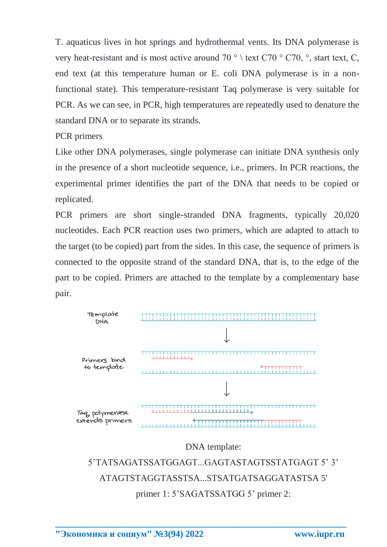T. aquaticus lives in hot springs and hydrothermal vents. Its DNA polymerase is very heat-resistant and is most active around 70  $\degree$  \ text C70  $\degree$  C70,  $\degree$ , start text, C, end text (at this temperature human or E. coli DNA polymerase is in a nonfunctional state). This temperature-resistant Taq polymerase is very suitable for PCR. As we can see, in PCR, high temperatures are repeatedly used to denature the standard DNA or to separate its strands.

PCR primers

Like other DNA polymerases, single polymerase can initiate DNA synthesis only in the presence of a short nucleotide sequence, i.e., primers. In PCR reactions, the experimental primer identifies the part of the DNA that needs to be copied or replicated.

PCR primers are short single-stranded DNA fragments, typically 20,020 nucleotides. Each PCR reaction uses two primers, which are adapted to attach to the target (to be copied) part from the sides. In this case, the sequence of primers is connected to the opposite strand of the standard DNA, that is, to the edge of the part to be copied. Primers are attached to the template by a complementary base pair.



## DNA template:

5'TATSAGATSSATGGAGT...GAGTASTAGTSSTATGAGT 5' 3' ATAGTSTAGGTASSTSA...STSATGATSAGGATASTSA 5' primer 1: 5'SAGATSSATGG 5' primer 2: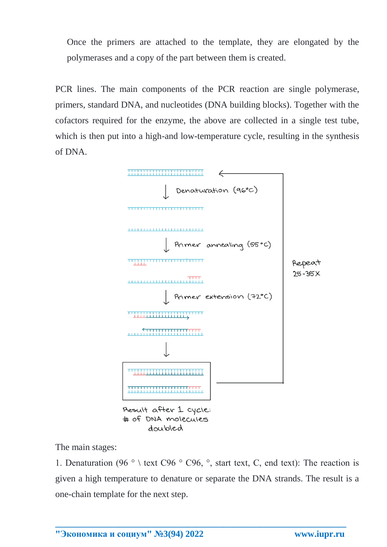Once the primers are attached to the template, they are elongated by the polymerases and a copy of the part between them is created.

PCR lines. The main components of the PCR reaction are single polymerase, primers, standard DNA, and nucleotides (DNA building blocks). Together with the cofactors required for the enzyme, the above are collected in a single test tube, which is then put into a high-and low-temperature cycle, resulting in the synthesis of DNA.



doubled

The main stages:

1. Denaturation (96  $\degree$  ) text C96  $\degree$  C96,  $\degree$ , start text, C, end text): The reaction is given a high temperature to denature or separate the DNA strands. The result is a one-chain template for the next step.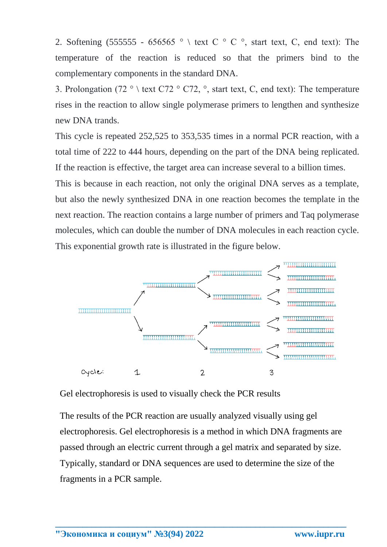2. Softening (555555 - 656565  $\degree$  \ text C  $\degree$  C  $\degree$ , start text, C, end text): The temperature of the reaction is reduced so that the primers bind to the complementary components in the standard DNA.

3. Prolongation (72  $\degree$ ) text C72  $\degree$  C72,  $\degree$ , start text, C, end text): The temperature rises in the reaction to allow single polymerase primers to lengthen and synthesize new DNA trands.

This cycle is repeated 252,525 to 353,535 times in a normal PCR reaction, with a total time of 222 to 444 hours, depending on the part of the DNA being replicated. If the reaction is effective, the target area can increase several to a billion times.

This is because in each reaction, not only the original DNA serves as a template, but also the newly synthesized DNA in one reaction becomes the template in the next reaction. The reaction contains a large number of primers and Taq polymerase molecules, which can double the number of DNA molecules in each reaction cycle. This exponential growth rate is illustrated in the figure below.



Gel electrophoresis is used to visually check the PCR results

The results of the PCR reaction are usually analyzed visually using gel electrophoresis. Gel electrophoresis is a method in which DNA fragments are passed through an electric current through a gel matrix and separated by size. Typically, standard or DNA sequences are used to determine the size of the fragments in a PCR sample.